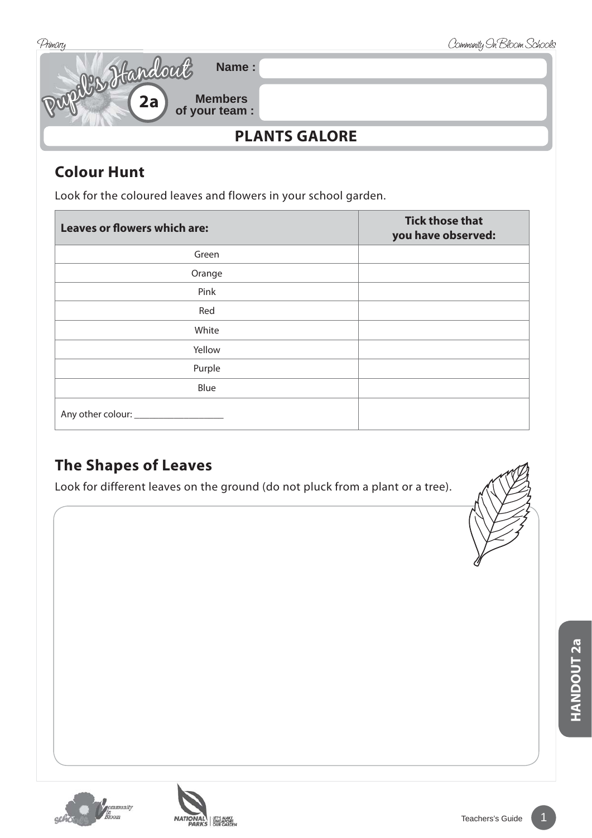

## **Colour Hunt**

Look for the coloured leaves and flowers in your school garden.

| <b>Leaves or flowers which are:</b> | <b>Tick those that</b><br>you have observed: |
|-------------------------------------|----------------------------------------------|
| Green                               |                                              |
| Orange                              |                                              |
| Pink                                |                                              |
| Red                                 |                                              |
| White                               |                                              |
| Yellow                              |                                              |
| Purple                              |                                              |
| Blue                                |                                              |
|                                     |                                              |

## **The Shapes of Leaves**

Look for different leaves on the ground (do not pluck from a plant or a tree).